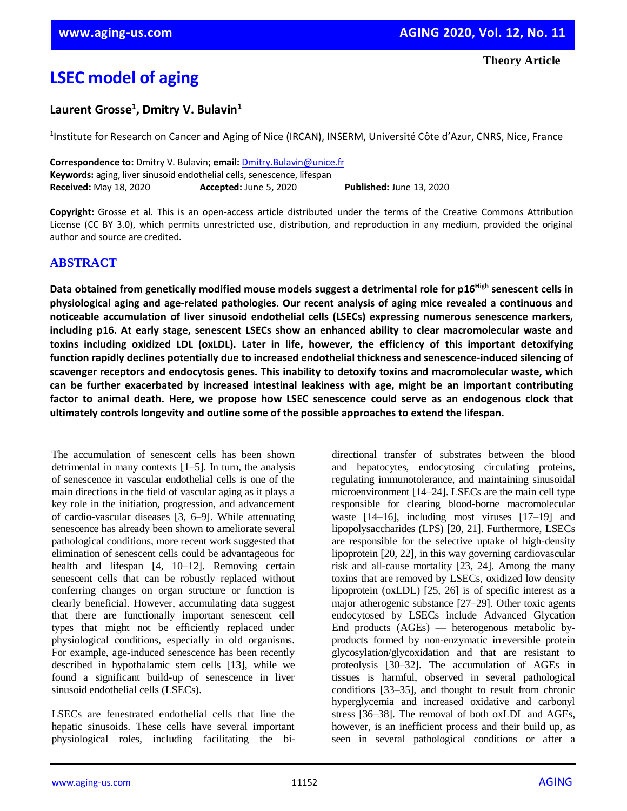# **LSEC model of aging**

# **Laurent Grosse<sup>1</sup> , Dmitry V. Bulavin<sup>1</sup>**

<sup>1</sup>Institute for Research on Cancer and Aging of Nice (IRCAN), INSERM, Université Côte d'Azur, CNRS, Nice, France

**Correspondence to:** Dmitry V. Bulavin; **email:** [Dmitry.Bulavin@unice.fr](mailto:Dmitry.Bulavin@unice.fr) **Keywords:** aging, liver sinusoid endothelial cells, senescence, lifespan **Received:** May 18, 2020 **Accepted:** June 5, 2020 **Published:** June 13, 2020

**Copyright:** Grosse et al. This is an open-access article distributed under the terms of the Creative Commons Attribution License (CC BY 3.0), which permits unrestricted use, distribution, and reproduction in any medium, provided the original author and source are credited.

### **ABSTRACT**

Data obtained from genetically modified mouse models suggest a detrimental role for p16<sup>High</sup> senescent cells in **physiological aging and age-related pathologies. Our recent analysis of aging mice revealed a continuous and noticeable accumulation of liver sinusoid endothelial cells (LSECs) expressing numerous senescence markers, including p16. At early stage, senescent LSECs show an enhanced ability to clear macromolecular waste and toxins including oxidized LDL (oxLDL). Later in life, however, the efficiency of this important detoxifying function rapidly declines potentially due to increased endothelial thickness and senescence-induced silencing of scavenger receptors and endocytosis genes. This inability to detoxify toxins and macromolecular waste, which can be further exacerbated by increased intestinal leakiness with age, might be an important contributing factor to animal death. Here, we propose how LSEC senescence could serve as an endogenous clock that ultimately controls longevity and outline some of the possible approaches to extend the lifespan.**

The accumulation of senescent cells has been shown detrimental in many contexts [1–5]. In turn, the analysis of senescence in vascular endothelial cells is one of the main directions in the field of vascular aging as it plays a key role in the initiation, progression, and advancement of cardio-vascular diseases [3, 6–9]. While attenuating senescence has already been shown to ameliorate several pathological conditions, more recent work suggested that elimination of senescent cells could be advantageous for health and lifespan [4, 10–12]. Removing certain senescent cells that can be robustly replaced without conferring changes on organ structure or function is clearly beneficial. However, accumulating data suggest that there are functionally important senescent cell types that might not be efficiently replaced under physiological conditions, especially in old organisms. For example, age-induced senescence has been recently described in hypothalamic stem cells [13], while we found a significant build-up of senescence in liver sinusoid endothelial cells (LSECs).

LSECs are fenestrated endothelial cells that line the hepatic sinusoids. These cells have several important physiological roles, including facilitating the bidirectional transfer of substrates between the blood and hepatocytes, endocytosing circulating proteins, regulating immunotolerance, and maintaining sinusoidal microenvironment [14–24]. LSECs are the main cell type responsible for clearing blood-borne macromolecular waste [14–16], including most viruses [17–19] and lipopolysaccharides (LPS) [20, 21]. Furthermore, LSECs are responsible for the selective uptake of high-density lipoprotein [20, 22], in this way governing cardiovascular risk and all-cause mortality [23, 24]. Among the many toxins that are removed by LSECs, oxidized low density lipoprotein (oxLDL) [25, 26] is of specific interest as a major atherogenic substance [27–29]. Other toxic agents endocytosed by LSECs include Advanced Glycation End products (AGEs) — heterogenous metabolic byproducts formed by non-enzymatic irreversible protein glycosylation/glycoxidation and that are resistant to proteolysis [30–32]. The accumulation of AGEs in tissues is harmful, observed in several pathological conditions [33–35], and thought to result from chronic hyperglycemia and increased oxidative and carbonyl stress [36–38]. The removal of both oxLDL and AGEs, however, is an inefficient process and their build up, as seen in several pathological conditions or after a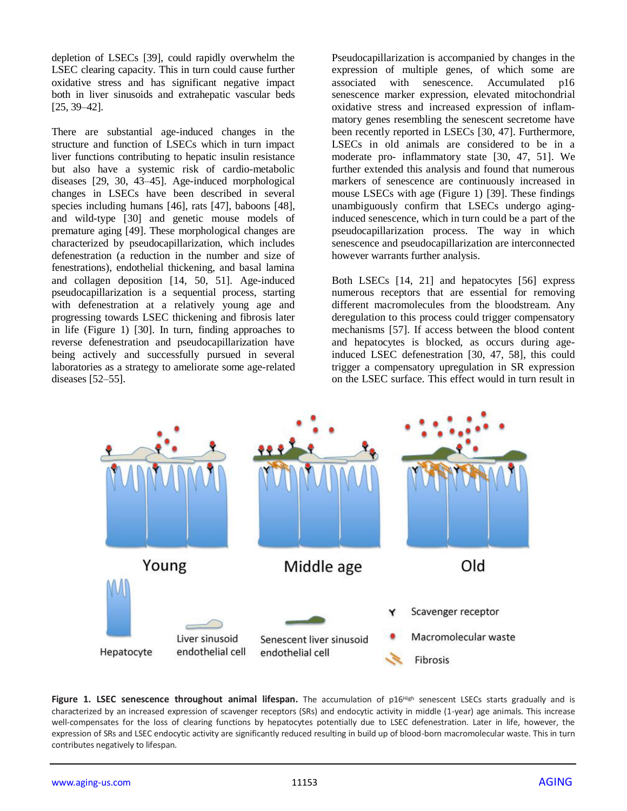depletion of LSECs [39], could rapidly overwhelm the LSEC clearing capacity. This in turn could cause further oxidative stress and has significant negative impact both in liver sinusoids and extrahepatic vascular beds [25, 39–42].

There are substantial age-induced changes in the structure and function of LSECs which in turn impact liver functions contributing to hepatic insulin resistance but also have a systemic risk of cardio-metabolic diseases [29, 30, 43–45]. Age-induced morphological changes in LSECs have been described in several species including humans [46], rats [47], baboons [48], and wild-type [30] and genetic mouse models of premature aging [49]. These morphological changes are characterized by pseudocapillarization, which includes defenestration (a reduction in the number and size of fenestrations), endothelial thickening, and basal lamina and collagen deposition [14, 50, 51]. Age-induced pseudocapillarization is a sequential process, starting with defenestration at a relatively young age and progressing towards LSEC thickening and fibrosis later in life (Figure 1) [30]. In turn, finding approaches to reverse defenestration and pseudocapillarization have being actively and successfully pursued in several laboratories as a strategy to ameliorate some age-related diseases [52–55].

Pseudocapillarization is accompanied by changes in the expression of multiple genes, of which some are associated with senescence. Accumulated p16 senescence marker expression, elevated mitochondrial oxidative stress and increased expression of inflammatory genes resembling the senescent secretome have been recently reported in LSECs [30, 47]. Furthermore, LSECs in old animals are considered to be in a moderate pro- inflammatory state [30, 47, 51]. We further extended this analysis and found that numerous markers of senescence are continuously increased in mouse LSECs with age (Figure 1) [39]. These findings unambiguously confirm that LSECs undergo aginginduced senescence, which in turn could be a part of the pseudocapillarization process. The way in which senescence and pseudocapillarization are interconnected however warrants further analysis.

Both LSECs [14, 21] and hepatocytes [56] express numerous receptors that are essential for removing different macromolecules from the bloodstream. Any deregulation to this process could trigger compensatory mechanisms [57]. If access between the blood content and hepatocytes is blocked, as occurs during ageinduced LSEC defenestration [30, 47, 58], this could trigger a compensatory upregulation in SR expression on the LSEC surface. This effect would in turn result in



Figure 1. LSEC senescence throughout animal lifespan. The accumulation of p16<sup>High</sup> senescent LSECs starts gradually and is characterized by an increased expression of scavenger receptors (SRs) and endocytic activity in middle (1-year) age animals. This increase well-compensates for the loss of clearing functions by hepatocytes potentially due to LSEC defenestration. Later in life, however, the expression of SRs and LSEC endocytic activity are significantly reduced resulting in build up of blood-born macromolecular waste. This in turn contributes negatively to lifespan.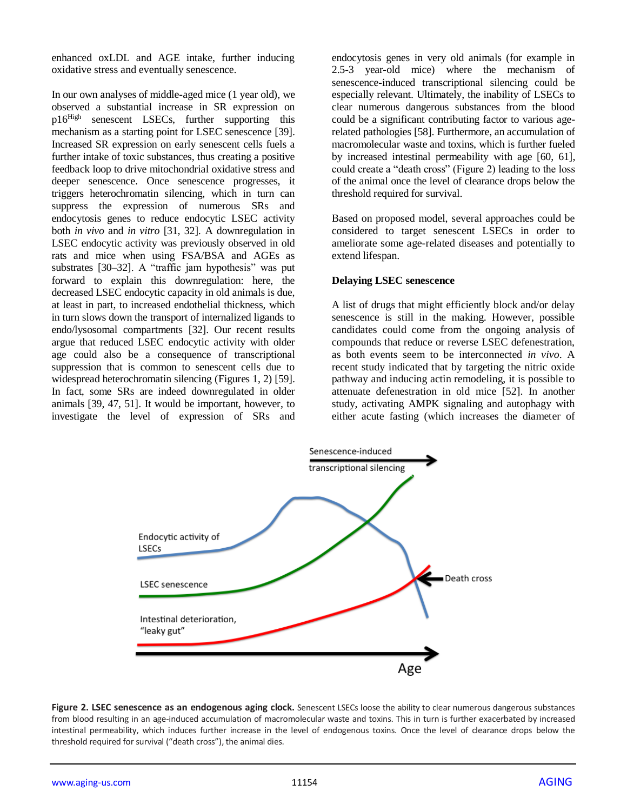enhanced oxLDL and AGE intake, further inducing oxidative stress and eventually senescence.

In our own analyses of middle-aged mice (1 year old), we observed a substantial increase in SR expression on p16High senescent LSECs, further supporting this mechanism as a starting point for LSEC senescence [39]. Increased SR expression on early senescent cells fuels a further intake of toxic substances, thus creating a positive feedback loop to drive mitochondrial oxidative stress and deeper senescence. Once senescence progresses, it triggers heterochromatin silencing, which in turn can suppress the expression of numerous SRs and endocytosis genes to reduce endocytic LSEC activity both *in vivo* and *in vitro* [31, 32]. A downregulation in LSEC endocytic activity was previously observed in old rats and mice when using FSA/BSA and AGEs as substrates [30–32]. A "traffic jam hypothesis" was put forward to explain this downregulation: here, the decreased LSEC endocytic capacity in old animals is due, at least in part, to increased endothelial thickness, which in turn slows down the transport of internalized ligands to endo/lysosomal compartments [32]. Our recent results argue that reduced LSEC endocytic activity with older age could also be a consequence of transcriptional suppression that is common to senescent cells due to widespread heterochromatin silencing (Figures 1, 2) [59]. In fact, some SRs are indeed downregulated in older animals [39, 47, 51]. It would be important, however, to investigate the level of expression of SRs and

endocytosis genes in very old animals (for example in 2.5-3 year-old mice) where the mechanism of senescence-induced transcriptional silencing could be especially relevant. Ultimately, the inability of LSECs to clear numerous dangerous substances from the blood could be a significant contributing factor to various agerelated pathologies [58]. Furthermore, an accumulation of macromolecular waste and toxins, which is further fueled by increased intestinal permeability with age [60, 61], could create a "death cross" (Figure 2) leading to the loss of the animal once the level of clearance drops below the threshold required for survival.

Based on proposed model, several approaches could be considered to target senescent LSECs in order to ameliorate some age-related diseases and potentially to extend lifespan.

#### **Delaying LSEC senescence**

A list of drugs that might efficiently block and/or delay senescence is still in the making. However, possible candidates could come from the ongoing analysis of compounds that reduce or reverse LSEC defenestration, as both events seem to be interconnected *in vivo*. A recent study indicated that by targeting the nitric oxide pathway and inducing actin remodeling, it is possible to attenuate defenestration in old mice [52]. In another study, activating AMPK signaling and autophagy with either acute fasting (which increases the diameter of



Figure 2. LSEC senescence as an endogenous aging clock. Senescent LSECs loose the ability to clear numerous dangerous substances from blood resulting in an age-induced accumulation of macromolecular waste and toxins. This in turn is further exacerbated by increased intestinal permeability, which induces further increase in the level of endogenous toxins. Once the level of clearance drops below the threshold required for survival ("death cross"), the animal dies.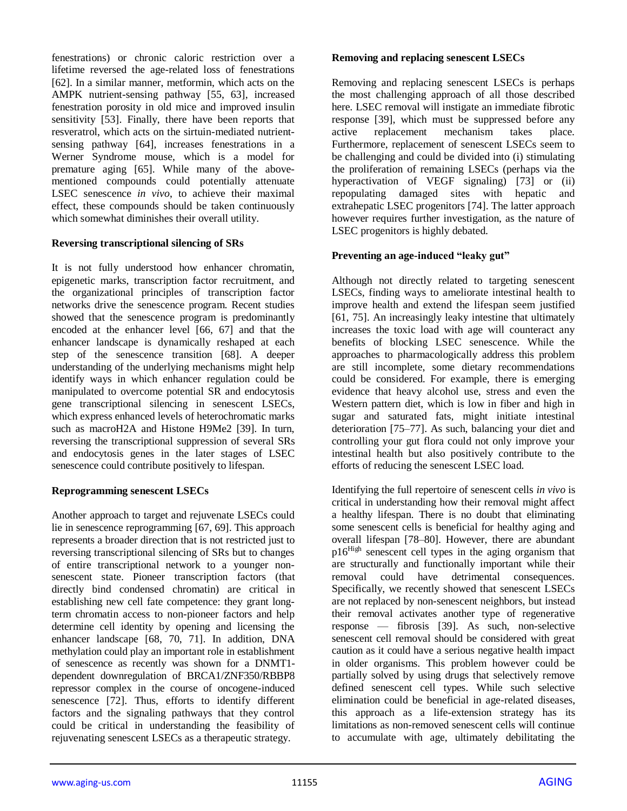fenestrations) or chronic caloric restriction over a lifetime reversed the age-related loss of fenestrations [62]. In a similar manner, metformin, which acts on the AMPK nutrient-sensing pathway [55, 63], increased fenestration porosity in old mice and improved insulin sensitivity [53]. Finally, there have been reports that resveratrol, which acts on the sirtuin-mediated nutrientsensing pathway [64], increases fenestrations in a Werner Syndrome mouse, which is a model for premature aging [65]. While many of the abovementioned compounds could potentially attenuate LSEC senescence *in vivo*, to achieve their maximal effect, these compounds should be taken continuously which somewhat diminishes their overall utility.

#### **Reversing transcriptional silencing of SRs**

It is not fully understood how enhancer chromatin, epigenetic marks, transcription factor recruitment, and the organizational principles of transcription factor networks drive the senescence program. Recent studies showed that the senescence program is predominantly encoded at the enhancer level [66, 67] and that the enhancer landscape is dynamically reshaped at each step of the senescence transition [68]. A deeper understanding of the underlying mechanisms might help identify ways in which enhancer regulation could be manipulated to overcome potential SR and endocytosis gene transcriptional silencing in senescent LSECs, which express enhanced levels of heterochromatic marks such as macroH2A and Histone H9Me2 [39]. In turn, reversing the transcriptional suppression of several SRs and endocytosis genes in the later stages of LSEC senescence could contribute positively to lifespan.

#### **Reprogramming senescent LSECs**

Another approach to target and rejuvenate LSECs could lie in senescence reprogramming [67, 69]. This approach represents a broader direction that is not restricted just to reversing transcriptional silencing of SRs but to changes of entire transcriptional network to a younger nonsenescent state. Pioneer transcription factors (that directly bind condensed chromatin) are critical in establishing new cell fate competence: they grant longterm chromatin access to non-pioneer factors and help determine cell identity by opening and licensing the enhancer landscape [68, 70, 71]. In addition, DNA methylation could play an important role in establishment of senescence as recently was shown for a DNMT1 dependent downregulation of BRCA1/ZNF350/RBBP8 repressor complex in the course of oncogene-induced senescence [72]. Thus, efforts to identify different factors and the signaling pathways that they control could be critical in understanding the feasibility of rejuvenating senescent LSECs as a therapeutic strategy.

#### **Removing and replacing senescent LSECs**

Removing and replacing senescent LSECs is perhaps the most challenging approach of all those described here. LSEC removal will instigate an immediate fibrotic response [39], which must be suppressed before any active replacement mechanism takes place. Furthermore, replacement of senescent LSECs seem to be challenging and could be divided into (i) stimulating the proliferation of remaining LSECs (perhaps via the hyperactivation of VEGF signaling) [73] or (ii) repopulating damaged sites with hepatic and extrahepatic LSEC progenitors [74]. The latter approach however requires further investigation, as the nature of LSEC progenitors is highly debated.

#### **Preventing an age-induced "leaky gut"**

Although not directly related to targeting senescent LSECs, finding ways to ameliorate intestinal health to improve health and extend the lifespan seem justified [61, 75]. An increasingly leaky intestine that ultimately increases the toxic load with age will counteract any benefits of blocking LSEC senescence. While the approaches to pharmacologically address this problem are still incomplete, some dietary recommendations could be considered. For example, there is emerging evidence that heavy alcohol use, stress and even the Western pattern diet, which is low in fiber and high in sugar and saturated fats, might initiate intestinal deterioration [75–77]. As such, balancing your diet and controlling your gut flora could not only improve your intestinal health but also positively contribute to the efforts of reducing the senescent LSEC load.

Identifying the full repertoire of senescent cells *in vivo* is critical in understanding how their removal might affect a healthy lifespan. There is no doubt that eliminating some senescent cells is beneficial for healthy aging and overall lifespan [78–80]. However, there are abundant  $p16<sup>High</sup>$  senescent cell types in the aging organism that are structurally and functionally important while their removal could have detrimental consequences. Specifically, we recently showed that senescent LSECs are not replaced by non-senescent neighbors, but instead their removal activates another type of regenerative response — fibrosis [39]. As such, non-selective senescent cell removal should be considered with great caution as it could have a serious negative health impact in older organisms. This problem however could be partially solved by using drugs that selectively remove defined senescent cell types. While such selective elimination could be beneficial in age-related diseases, this approach as a life-extension strategy has its limitations as non-removed senescent cells will continue to accumulate with age, ultimately debilitating the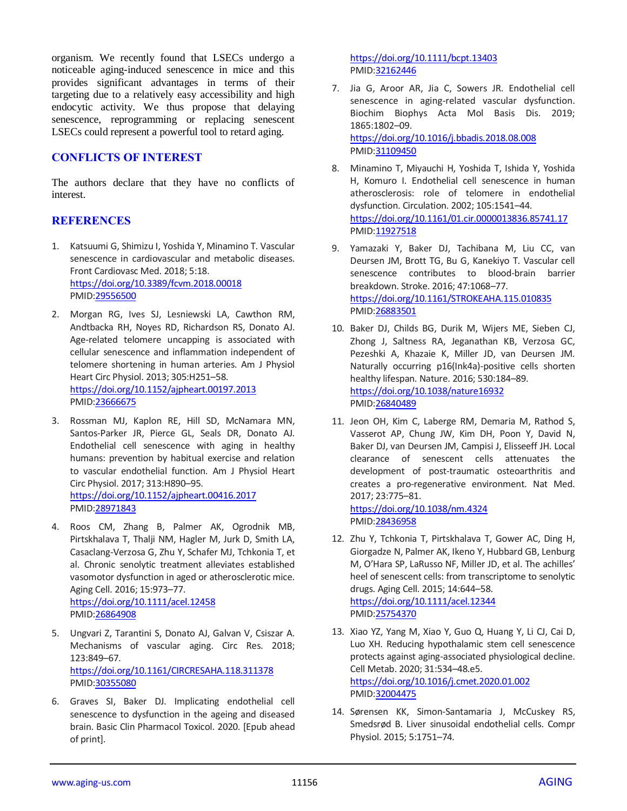organism. We recently found that LSECs undergo a noticeable aging-induced senescence in mice and this provides significant advantages in terms of their targeting due to a relatively easy accessibility and high endocytic activity. We thus propose that delaying senescence, reprogramming or replacing senescent LSECs could represent a powerful tool to retard aging.

### **CONFLICTS OF INTEREST**

The authors declare that they have no conflicts of interest.

## **REFERENCES**

- 1. Katsuumi G, Shimizu I, Yoshida Y, Minamino T. Vascular senescence in cardiovascular and metabolic diseases. Front Cardiovasc Med. 2018; 5:18. <https://doi.org/10.3389/fcvm.2018.00018> PMID[:29556500](https://pubmed.ncbi.nlm.nih.gov/29556500)
- 2. Morgan RG, Ives SJ, Lesniewski LA, Cawthon RM, Andtbacka RH, Noyes RD, Richardson RS, Donato AJ. Age-related telomere uncapping is associated with cellular senescence and inflammation independent of telomere shortening in human arteries. Am J Physiol Heart Circ Physiol. 2013; 305:H251–58. <https://doi.org/10.1152/ajpheart.00197.2013> PMID[:23666675](https://pubmed.ncbi.nlm.nih.gov/23666675)
- 3. Rossman MJ, Kaplon RE, Hill SD, McNamara MN, Santos-Parker JR, Pierce GL, Seals DR, Donato AJ. Endothelial cell senescence with aging in healthy humans: prevention by habitual exercise and relation to vascular endothelial function. Am J Physiol Heart Circ Physiol. 2017; 313:H890–95. <https://doi.org/10.1152/ajpheart.00416.2017> PMID[:28971843](https://pubmed.ncbi.nlm.nih.gov/28971843)
- 4. Roos CM, Zhang B, Palmer AK, Ogrodnik MB, Pirtskhalava T, Thalji NM, Hagler M, Jurk D, Smith LA, Casaclang-Verzosa G, Zhu Y, Schafer MJ, Tchkonia T, et al. Chronic senolytic treatment alleviates established vasomotor dysfunction in aged or atherosclerotic mice. Aging Cell. 2016; 15:973–77. <https://doi.org/10.1111/acel.12458> PMID[:26864908](https://pubmed.ncbi.nlm.nih.gov/26864908)
- 5. Ungvari Z, Tarantini S, Donato AJ, Galvan V, Csiszar A. Mechanisms of vascular aging. Circ Res. 2018; 123:849–67. <https://doi.org/10.1161/CIRCRESAHA.118.311378> PMID[:30355080](https://pubmed.ncbi.nlm.nih.gov/30355080)
- 6. Graves SI, Baker DJ. Implicating endothelial cell senescence to dysfunction in the ageing and diseased brain. Basic Clin Pharmacol Toxicol. 2020. [Epub ahead of print].

<https://doi.org/10.1111/bcpt.13403> PMI[D:32162446](https://pubmed.ncbi.nlm.nih.gov/32162446)

- 7. Jia G, Aroor AR, Jia C, Sowers JR. Endothelial cell senescence in aging-related vascular dysfunction. Biochim Biophys Acta Mol Basis Dis. 2019; 1865:1802–09. <https://doi.org/10.1016/j.bbadis.2018.08.008> PMI[D:31109450](https://pubmed.ncbi.nlm.nih.gov/31109450)
- 8. Minamino T, Miyauchi H, Yoshida T, Ishida Y, Yoshida H, Komuro I. Endothelial cell senescence in human atherosclerosis: role of telomere in endothelial dysfunction. Circulation. 2002; 105:1541–44. <https://doi.org/10.1161/01.cir.0000013836.85741.17> PMI[D:11927518](https://pubmed.ncbi.nlm.nih.gov/11927518)
- 9. Yamazaki Y, Baker DJ, Tachibana M, Liu CC, van Deursen JM, Brott TG, Bu G, Kanekiyo T. Vascular cell senescence contributes to blood-brain barrier breakdown. Stroke. 2016; 47:1068–77. <https://doi.org/10.1161/STROKEAHA.115.010835> PMI[D:26883501](https://pubmed.ncbi.nlm.nih.gov/26883501)
- 10. Baker DJ, Childs BG, Durik M, Wijers ME, Sieben CJ, Zhong J, Saltness RA, Jeganathan KB, Verzosa GC, Pezeshki A, Khazaie K, Miller JD, van Deursen JM. Naturally occurring p16(Ink4a)-positive cells shorten healthy lifespan. Nature. 2016; 530:184–89. <https://doi.org/10.1038/nature16932> PMI[D:26840489](https://pubmed.ncbi.nlm.nih.gov/26840489)
- 11. Jeon OH, Kim C, Laberge RM, Demaria M, Rathod S, Vasserot AP, Chung JW, Kim DH, Poon Y, David N, Baker DJ, van Deursen JM, Campisi J, Elisseeff JH. Local clearance of senescent cells attenuates the development of post-traumatic osteoarthritis and creates a pro-regenerative environment. Nat Med. 2017; 23:775–81. <https://doi.org/10.1038/nm.4324>

PMI[D:28436958](https://pubmed.ncbi.nlm.nih.gov/28436958)

- 12. Zhu Y, Tchkonia T, Pirtskhalava T, Gower AC, Ding H, Giorgadze N, Palmer AK, Ikeno Y, Hubbard GB, Lenburg M, O'Hara SP, LaRusso NF, Miller JD, et al. The achilles' heel of senescent cells: from transcriptome to senolytic drugs. Aging Cell. 2015; 14:644–58. <https://doi.org/10.1111/acel.12344> PMI[D:25754370](https://pubmed.ncbi.nlm.nih.gov/25754370)
- 13. Xiao YZ, Yang M, Xiao Y, Guo Q, Huang Y, Li CJ, Cai D, Luo XH. Reducing hypothalamic stem cell senescence protects against aging-associated physiological decline. Cell Metab. 2020; 31:534–48.e5. <https://doi.org/10.1016/j.cmet.2020.01.002> PMI[D:32004475](https://pubmed.ncbi.nlm.nih.gov/32004475)
- 14. Sørensen KK, Simon-Santamaria J, McCuskey RS, Smedsrød B. Liver sinusoidal endothelial cells. Compr Physiol. 2015; 5:1751–74.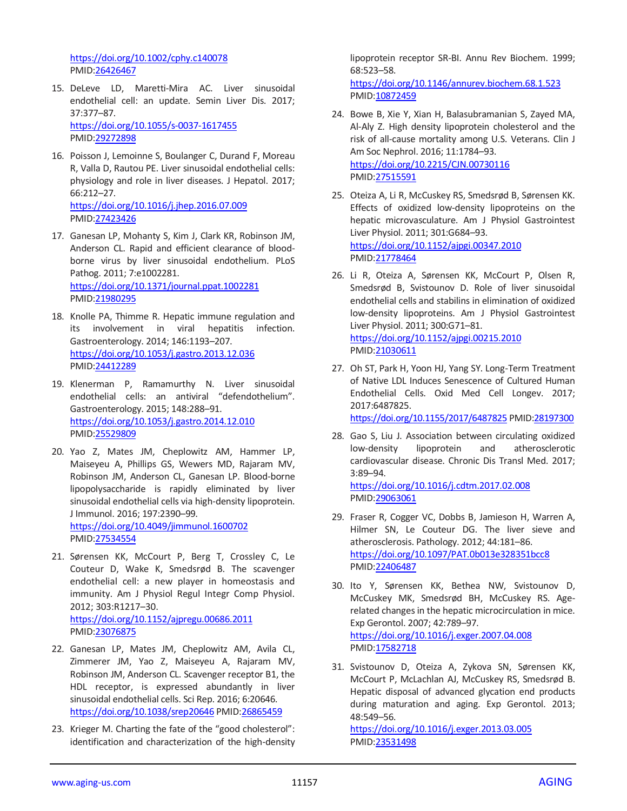<https://doi.org/10.1002/cphy.c140078> PMID[:26426467](https://pubmed.ncbi.nlm.nih.gov/26426467)

- 15. DeLeve LD, Maretti-Mira AC. Liver sinusoidal endothelial cell: an update. Semin Liver Dis. 2017; 37:377–87. <https://doi.org/10.1055/s-0037-1617455> PMID[:29272898](https://pubmed.ncbi.nlm.nih.gov/29272898)
- 16. Poisson J, Lemoinne S, Boulanger C, Durand F, Moreau R, Valla D, Rautou PE. Liver sinusoidal endothelial cells: physiology and role in liver diseases. J Hepatol. 2017; 66:212–27. <https://doi.org/10.1016/j.jhep.2016.07.009> PMID[:27423426](https://pubmed.ncbi.nlm.nih.gov/27423426)
- 17. Ganesan LP, Mohanty S, Kim J, Clark KR, Robinson JM, Anderson CL. Rapid and efficient clearance of bloodborne virus by liver sinusoidal endothelium. PLoS Pathog. 2011; 7:e1002281. <https://doi.org/10.1371/journal.ppat.1002281> PMID[:21980295](https://pubmed.ncbi.nlm.nih.gov/21980295)
- 18. Knolle PA, Thimme R. Hepatic immune regulation and its involvement in viral hepatitis infection. Gastroenterology. 2014; 146:1193–207. <https://doi.org/10.1053/j.gastro.2013.12.036> PMID[:24412289](https://pubmed.ncbi.nlm.nih.gov/24412289)
- 19. Klenerman P, Ramamurthy N. Liver sinusoidal endothelial cells: an antiviral "defendothelium". Gastroenterology. 2015; 148:288–91. <https://doi.org/10.1053/j.gastro.2014.12.010> PMID[:25529809](https://pubmed.ncbi.nlm.nih.gov/25529809)

20. Yao Z, Mates JM, Cheplowitz AM, Hammer LP, Maiseyeu A, Phillips GS, Wewers MD, Rajaram MV, Robinson JM, Anderson CL, Ganesan LP. Blood-borne lipopolysaccharide is rapidly eliminated by liver sinusoidal endothelial cells via high-density lipoprotein. J Immunol. 2016; 197:2390–99. <https://doi.org/10.4049/jimmunol.1600702> PMID[:27534554](https://pubmed.ncbi.nlm.nih.gov/27534554)

- 21. Sørensen KK, McCourt P, Berg T, Crossley C, Le Couteur D, Wake K, Smedsrød B. The scavenger endothelial cell: a new player in homeostasis and immunity. Am J Physiol Regul Integr Comp Physiol. 2012; 303:R1217–30. <https://doi.org/10.1152/ajpregu.00686.2011> PMID[:23076875](https://pubmed.ncbi.nlm.nih.gov/23076875)
- 22. Ganesan LP, Mates JM, Cheplowitz AM, Avila CL, Zimmerer JM, Yao Z, Maiseyeu A, Rajaram MV, Robinson JM, Anderson CL. Scavenger receptor B1, the HDL receptor, is expressed abundantly in liver sinusoidal endothelial cells. Sci Rep. 2016; 6:20646. <https://doi.org/10.1038/srep20646> PMID[:26865459](https://pubmed.ncbi.nlm.nih.gov/26865459)
- 23. Krieger M. Charting the fate of the "good cholesterol": identification and characterization of the high-density

lipoprotein receptor SR-BI. Annu Rev Biochem. 1999; 68:523–58.

<https://doi.org/10.1146/annurev.biochem.68.1.523> PMI[D:10872459](https://pubmed.ncbi.nlm.nih.gov/10872459)

- 24. Bowe B, Xie Y, Xian H, Balasubramanian S, Zayed MA, Al-Aly Z. High density lipoprotein cholesterol and the risk of all-cause mortality among U.S. Veterans. Clin J Am Soc Nephrol. 2016; 11:1784–93. <https://doi.org/10.2215/CJN.00730116> PMI[D:27515591](https://pubmed.ncbi.nlm.nih.gov/27515591)
- 25. Oteiza A, Li R, McCuskey RS, Smedsrød B, Sørensen KK. Effects of oxidized low-density lipoproteins on the hepatic microvasculature. Am J Physiol Gastrointest Liver Physiol. 2011; 301:G684–93. <https://doi.org/10.1152/ajpgi.00347.2010> PMI[D:21778464](https://pubmed.ncbi.nlm.nih.gov/21778464)
- 26. Li R, Oteiza A, Sørensen KK, McCourt P, Olsen R, Smedsrød B, Svistounov D. Role of liver sinusoidal endothelial cells and stabilins in elimination of oxidized low-density lipoproteins. Am J Physiol Gastrointest Liver Physiol. 2011; 300:G71–81. <https://doi.org/10.1152/ajpgi.00215.2010> PMI[D:21030611](https://pubmed.ncbi.nlm.nih.gov/21030611)
- 27. Oh ST, Park H, Yoon HJ, Yang SY. Long-Term Treatment of Native LDL Induces Senescence of Cultured Human Endothelial Cells. Oxid Med Cell Longev. 2017; 2017:6487825. <https://doi.org/10.1155/2017/6487825> PMI[D:28197300](https://pubmed.ncbi.nlm.nih.gov/28197300)
- 28. Gao S, Liu J. Association between circulating oxidized low-density lipoprotein and atherosclerotic cardiovascular disease. Chronic Dis Transl Med. 2017; 3:89–94. <https://doi.org/10.1016/j.cdtm.2017.02.008> PMI[D:29063061](https://pubmed.ncbi.nlm.nih.gov/29063061)
- 29. Fraser R, Cogger VC, Dobbs B, Jamieson H, Warren A, Hilmer SN, Le Couteur DG. The liver sieve and atherosclerosis. Pathology. 2012; 44:181–86. <https://doi.org/10.1097/PAT.0b013e328351bcc8> PMI[D:22406487](https://pubmed.ncbi.nlm.nih.gov/22406487)
- 30. Ito Y, Sørensen KK, Bethea NW, Svistounov D, McCuskey MK, Smedsrød BH, McCuskey RS. Agerelated changes in the hepatic microcirculation in mice. Exp Gerontol. 2007; 42:789–97. <https://doi.org/10.1016/j.exger.2007.04.008> PMI[D:17582718](https://pubmed.ncbi.nlm.nih.gov/17582718)
- 31. Svistounov D, Oteiza A, Zykova SN, Sørensen KK, McCourt P, McLachlan AJ, McCuskey RS, Smedsrød B. Hepatic disposal of advanced glycation end products during maturation and aging. Exp Gerontol. 2013; 48:549–56.

<https://doi.org/10.1016/j.exger.2013.03.005> PMI[D:23531498](https://pubmed.ncbi.nlm.nih.gov/23531498)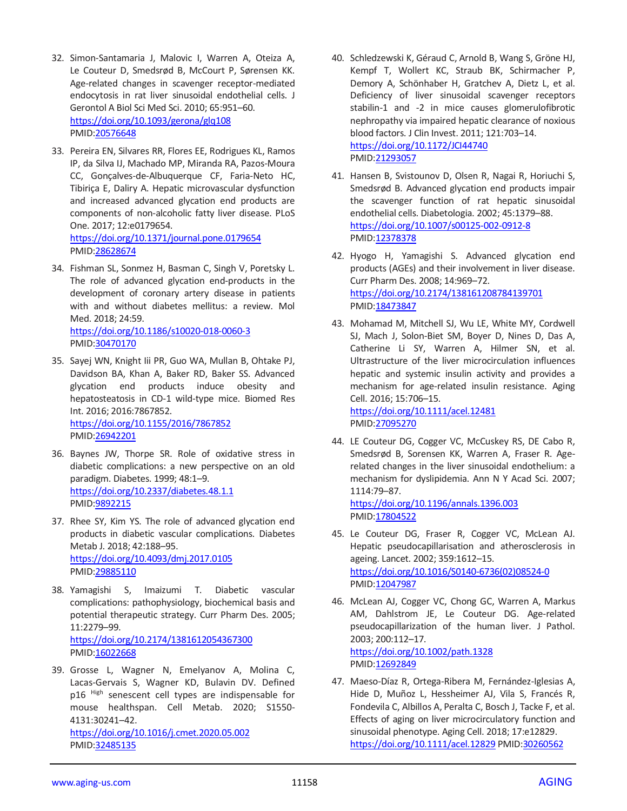- 32. Simon-Santamaria J, Malovic I, Warren A, Oteiza A, Le Couteur D, Smedsrød B, McCourt P, Sørensen KK. Age-related changes in scavenger receptor-mediated endocytosis in rat liver sinusoidal endothelial cells. J Gerontol A Biol Sci Med Sci. 2010; 65:951–60. <https://doi.org/10.1093/gerona/glq108> PMID[:20576648](https://pubmed.ncbi.nlm.nih.gov/20576648)
- 33. Pereira EN, Silvares RR, Flores EE, Rodrigues KL, Ramos IP, da Silva IJ, Machado MP, Miranda RA, Pazos-Moura CC, Gonçalves-de-Albuquerque CF, Faria-Neto HC, Tibiriça E, Daliry A. Hepatic microvascular dysfunction and increased advanced glycation end products are components of non-alcoholic fatty liver disease. PLoS One. 2017; 12:e0179654. <https://doi.org/10.1371/journal.pone.0179654> PMID[:28628674](https://pubmed.ncbi.nlm.nih.gov/28628674)
- 34. Fishman SL, Sonmez H, Basman C, Singh V, Poretsky L. The role of advanced glycation end-products in the development of coronary artery disease in patients with and without diabetes mellitus: a review. Mol Med. 2018; 24:59.

<https://doi.org/10.1186/s10020-018-0060-3> PMID[:30470170](https://pubmed.ncbi.nlm.nih.gov/30470170)

- 35. Sayej WN, Knight Iii PR, Guo WA, Mullan B, Ohtake PJ, Davidson BA, Khan A, Baker RD, Baker SS. Advanced glycation end products induce obesity and hepatosteatosis in CD-1 wild-type mice. Biomed Res Int. 2016; 2016:7867852. <https://doi.org/10.1155/2016/7867852> PMID[:26942201](https://pubmed.ncbi.nlm.nih.gov/26942201)
- 36. Baynes JW, Thorpe SR. Role of oxidative stress in diabetic complications: a new perspective on an old paradigm. Diabetes. 1999; 48:1–9. <https://doi.org/10.2337/diabetes.48.1.1> PMID[:9892215](https://pubmed.ncbi.nlm.nih.gov/9892215)
- 37. Rhee SY, Kim YS. The role of advanced glycation end products in diabetic vascular complications. Diabetes Metab J. 2018; 42:188–95. <https://doi.org/10.4093/dmj.2017.0105> PMID[:29885110](https://pubmed.ncbi.nlm.nih.gov/29885110)
- 38. Yamagishi S, Imaizumi T. Diabetic vascular complications: pathophysiology, biochemical basis and potential therapeutic strategy. Curr Pharm Des. 2005; 11:2279–99. <https://doi.org/10.2174/1381612054367300> PMID: 16022668
- 39. Grosse L, Wagner N, Emelyanov A, Molina C, Lacas-Gervais S, Wagner KD, Bulavin DV. Defined p16 High senescent cell types are indispensable for mouse healthspan. Cell Metab. 2020; S1550- 4131:30241–42. <https://doi.org/10.1016/j.cmet.2020.05.002> PMID[:32485135](https://pubmed.ncbi.nlm.nih.gov/32485135)
- 40. Schledzewski K, Géraud C, Arnold B, Wang S, Gröne HJ, Kempf T, Wollert KC, Straub BK, Schirmacher P, Demory A, Schönhaber H, Gratchev A, Dietz L, et al. Deficiency of liver sinusoidal scavenger receptors stabilin-1 and -2 in mice causes glomerulofibrotic nephropathy via impaired hepatic clearance of noxious blood factors. J Clin Invest. 2011; 121:703–14. <https://doi.org/10.1172/JCI44740> PMI[D:21293057](https://pubmed.ncbi.nlm.nih.gov/21293057)
- 41. Hansen B, Svistounov D, Olsen R, Nagai R, Horiuchi S, Smedsrød B. Advanced glycation end products impair the scavenger function of rat hepatic sinusoidal endothelial cells. Diabetologia. 2002; 45:1379–88. <https://doi.org/10.1007/s00125-002-0912-8> PMI[D:12378378](https://pubmed.ncbi.nlm.nih.gov/12378378)
- 42. Hyogo H, Yamagishi S. Advanced glycation end products (AGEs) and their involvement in liver disease. Curr Pharm Des. 2008; 14:969–72. <https://doi.org/10.2174/138161208784139701> PMI[D:18473847](https://pubmed.ncbi.nlm.nih.gov/18473847)
- 43. Mohamad M, Mitchell SJ, Wu LE, White MY, Cordwell SJ, Mach J, Solon-Biet SM, Boyer D, Nines D, Das A, Catherine Li SY, Warren A, Hilmer SN, et al. Ultrastructure of the liver microcirculation influences hepatic and systemic insulin activity and provides a mechanism for age-related insulin resistance. Aging Cell. 2016; 15:706–15.

<https://doi.org/10.1111/acel.12481> PMI[D:27095270](https://pubmed.ncbi.nlm.nih.gov/27095270)

44. LE Couteur DG, Cogger VC, McCuskey RS, DE Cabo R, Smedsrød B, Sorensen KK, Warren A, Fraser R. Agerelated changes in the liver sinusoidal endothelium: a mechanism for dyslipidemia. Ann N Y Acad Sci. 2007; 1114:79–87.

<https://doi.org/10.1196/annals.1396.003> PMI[D:17804522](https://pubmed.ncbi.nlm.nih.gov/17804522)

- 45. Le Couteur DG, Fraser R, Cogger VC, McLean AJ. Hepatic pseudocapillarisation and atherosclerosis in ageing. Lancet. 2002; 359:1612–15. [https://doi.org/10.1016/S0140-6736\(02\)08524-0](https://doi.org/10.1016/S0140-6736(02)08524-0) PMI[D:12047987](https://pubmed.ncbi.nlm.nih.gov/12047987)
- 46. McLean AJ, Cogger VC, Chong GC, Warren A, Markus AM, Dahlstrom JE, Le Couteur DG. Age-related pseudocapillarization of the human liver. J Pathol. 2003; 200:112–17. <https://doi.org/10.1002/path.1328> PMI[D:12692849](https://pubmed.ncbi.nlm.nih.gov/12692849)
- 47. Maeso-Díaz R, Ortega-Ribera M, Fernández-Iglesias A, Hide D, Muñoz L, Hessheimer AJ, Vila S, Francés R, Fondevila C, Albillos A, Peralta C, Bosch J, Tacke F, et al. Effects of aging on liver microcirculatory function and sinusoidal phenotype. Aging Cell. 2018; 17:e12829. <https://doi.org/10.1111/acel.12829> PMI[D:30260562](https://pubmed.ncbi.nlm.nih.gov/30260562)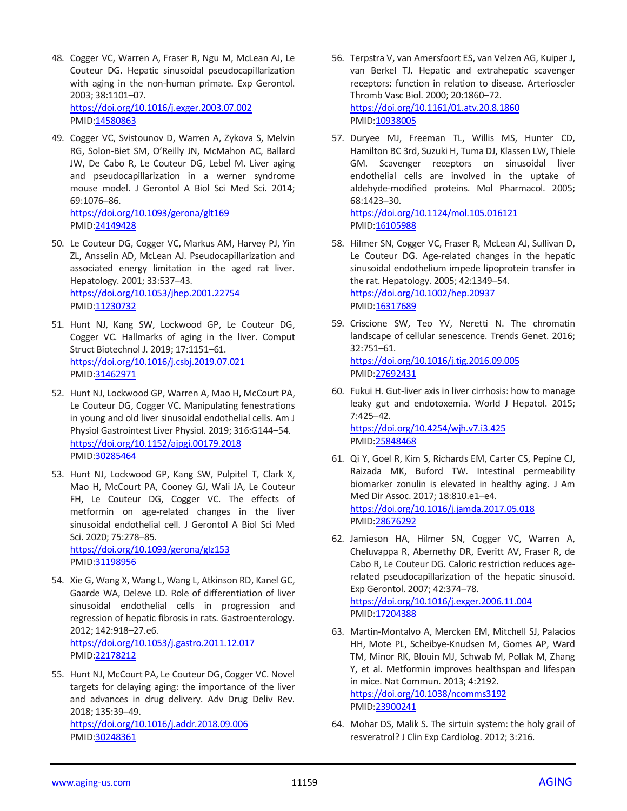- 48. Cogger VC, Warren A, Fraser R, Ngu M, McLean AJ, Le Couteur DG. Hepatic sinusoidal pseudocapillarization with aging in the non-human primate. Exp Gerontol. 2003; 38:1101–07. <https://doi.org/10.1016/j.exger.2003.07.002> PMID[:14580863](https://pubmed.ncbi.nlm.nih.gov/14580863)
- 49. Cogger VC, Svistounov D, Warren A, Zykova S, Melvin RG, Solon-Biet SM, O'Reilly JN, McMahon AC, Ballard JW, De Cabo R, Le Couteur DG, Lebel M. Liver aging and pseudocapillarization in a werner syndrome mouse model. J Gerontol A Biol Sci Med Sci. 2014; 69:1076–86. <https://doi.org/10.1093/gerona/glt169> PMID[:24149428](https://pubmed.ncbi.nlm.nih.gov/24149428)
- 50. Le Couteur DG, Cogger VC, Markus AM, Harvey PJ, Yin ZL, Ansselin AD, McLean AJ. Pseudocapillarization and associated energy limitation in the aged rat liver. Hepatology. 2001; 33:537–43. <https://doi.org/10.1053/jhep.2001.22754> PMID[:11230732](https://pubmed.ncbi.nlm.nih.gov/11230732)
- 51. Hunt NJ, Kang SW, Lockwood GP, Le Couteur DG, Cogger VC. Hallmarks of aging in the liver. Comput Struct Biotechnol J. 2019; 17:1151–61. <https://doi.org/10.1016/j.csbj.2019.07.021> PMID[:31462971](https://pubmed.ncbi.nlm.nih.gov/31462971)
- 52. Hunt NJ, Lockwood GP, Warren A, Mao H, McCourt PA, Le Couteur DG, Cogger VC. Manipulating fenestrations in young and old liver sinusoidal endothelial cells. Am J Physiol Gastrointest Liver Physiol. 2019; 316:G144–54. <https://doi.org/10.1152/ajpgi.00179.2018> PMID[:30285464](https://pubmed.ncbi.nlm.nih.gov/30285464)
- 53. Hunt NJ, Lockwood GP, Kang SW, Pulpitel T, Clark X, Mao H, McCourt PA, Cooney GJ, Wali JA, Le Couteur FH, Le Couteur DG, Cogger VC. The effects of metformin on age-related changes in the liver sinusoidal endothelial cell. J Gerontol A Biol Sci Med Sci. 2020; 75:278–85. <https://doi.org/10.1093/gerona/glz153> PMID[:31198956](https://pubmed.ncbi.nlm.nih.gov/31198956)
- 54. Xie G, Wang X, Wang L, Wang L, Atkinson RD, Kanel GC, Gaarde WA, Deleve LD. Role of differentiation of liver sinusoidal endothelial cells in progression and regression of hepatic fibrosis in rats. Gastroenterology. 2012; 142:918–27.e6. <https://doi.org/10.1053/j.gastro.2011.12.017> PMID[:22178212](https://pubmed.ncbi.nlm.nih.gov/22178212)
- 55. Hunt NJ, McCourt PA, Le Couteur DG, Cogger VC. Novel targets for delaying aging: the importance of the liver and advances in drug delivery. Adv Drug Deliv Rev. 2018; 135:39–49. <https://doi.org/10.1016/j.addr.2018.09.006> PMID[:30248361](https://pubmed.ncbi.nlm.nih.gov/30248361)
- 56. Terpstra V, van Amersfoort ES, van Velzen AG, Kuiper J, van Berkel TJ. Hepatic and extrahepatic scavenger receptors: function in relation to disease. Arterioscler Thromb Vasc Biol. 2000; 20:1860–72. <https://doi.org/10.1161/01.atv.20.8.1860> PMI[D:10938005](https://pubmed.ncbi.nlm.nih.gov/10938005)
- 57. Duryee MJ, Freeman TL, Willis MS, Hunter CD, Hamilton BC 3rd, Suzuki H, Tuma DJ, Klassen LW, Thiele GM. Scavenger receptors on sinusoidal liver endothelial cells are involved in the uptake of aldehyde-modified proteins. Mol Pharmacol. 2005; 68:1423–30.

<https://doi.org/10.1124/mol.105.016121> PMI[D:16105988](https://pubmed.ncbi.nlm.nih.gov/16105988)

- 58. Hilmer SN, Cogger VC, Fraser R, McLean AJ, Sullivan D, Le Couteur DG. Age-related changes in the hepatic sinusoidal endothelium impede lipoprotein transfer in the rat. Hepatology. 2005; 42:1349–54. <https://doi.org/10.1002/hep.20937> PMI[D:16317689](https://pubmed.ncbi.nlm.nih.gov/16317689)
- 59. Criscione SW, Teo YV, Neretti N. The chromatin landscape of cellular senescence. Trends Genet. 2016; 32:751–61. <https://doi.org/10.1016/j.tig.2016.09.005> PMI[D:27692431](https://pubmed.ncbi.nlm.nih.gov/27692431)
- 60. Fukui H. Gut-liver axis in liver cirrhosis: how to manage leaky gut and endotoxemia. World J Hepatol. 2015; 7:425–42. <https://doi.org/10.4254/wjh.v7.i3.425>

PMI[D:25848468](https://pubmed.ncbi.nlm.nih.gov/25848468)

- 61. Qi Y, Goel R, Kim S, Richards EM, Carter CS, Pepine CJ, Raizada MK, Buford TW. Intestinal permeability biomarker zonulin is elevated in healthy aging. J Am Med Dir Assoc. 2017; 18:810.e1–e4. <https://doi.org/10.1016/j.jamda.2017.05.018> PMI[D:28676292](https://pubmed.ncbi.nlm.nih.gov/28676292)
- 62. Jamieson HA, Hilmer SN, Cogger VC, Warren A, Cheluvappa R, Abernethy DR, Everitt AV, Fraser R, de Cabo R, Le Couteur DG. Caloric restriction reduces agerelated pseudocapillarization of the hepatic sinusoid. Exp Gerontol. 2007; 42:374–78. <https://doi.org/10.1016/j.exger.2006.11.004> PMI[D:17204388](https://pubmed.ncbi.nlm.nih.gov/17204388)
- 63. Martin-Montalvo A, Mercken EM, Mitchell SJ, Palacios HH, Mote PL, Scheibye-Knudsen M, Gomes AP, Ward TM, Minor RK, Blouin MJ, Schwab M, Pollak M, Zhang Y, et al. Metformin improves healthspan and lifespan in mice. Nat Commun. 2013; 4:2192. <https://doi.org/10.1038/ncomms3192> PMI[D:23900241](https://pubmed.ncbi.nlm.nih.gov/23900241)
- 64. Mohar DS, Malik S. The sirtuin system: the holy grail of resveratrol? J Clin Exp Cardiolog. 2012; 3:216.